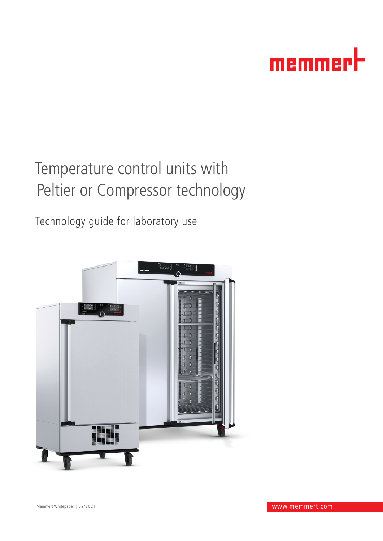

# Temperature control units with Peltier or Compressor technology

Technology guide for laboratory use

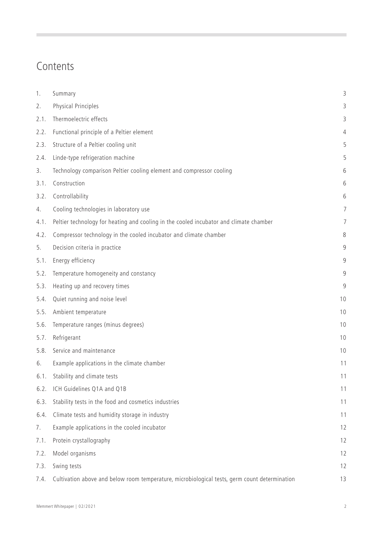### Contents

| 1.   | Summary                                                                                       | 3              |
|------|-----------------------------------------------------------------------------------------------|----------------|
| 2.   | Physical Principles                                                                           | 3              |
| 2.1. | Thermoelectric effects                                                                        | 3              |
| 2.2. | Functional principle of a Peltier element                                                     | 4              |
| 2.3. | Structure of a Peltier cooling unit                                                           | 5              |
| 2.4. | Linde-type refrigeration machine                                                              | 5              |
| 3.   | Technology comparison Peltier cooling element and compressor cooling                          | 6              |
| 3.1. | Construction                                                                                  | 6              |
| 3.2. | Controllability                                                                               | 6              |
| 4.   | Cooling technologies in laboratory use                                                        | $\overline{7}$ |
| 4.1. | Peltier technology for heating and cooling in the cooled incubator and climate chamber        | $\overline{7}$ |
| 4.2. | Compressor technology in the cooled incubator and climate chamber                             | 8              |
| 5.   | Decision criteria in practice                                                                 | 9              |
| 5.1. | Energy efficiency                                                                             | 9              |
| 5.2. | Temperature homogeneity and constancy                                                         | 9              |
| 5.3. | Heating up and recovery times                                                                 | 9              |
| 5.4. | Quiet running and noise level                                                                 | 10             |
| 5.5. | Ambient temperature                                                                           | 10             |
| 5.6. | Temperature ranges (minus degrees)                                                            | 10             |
| 5.7. | Refrigerant                                                                                   | 10             |
| 5.8. | Service and maintenance                                                                       | 10             |
| 6.   | Example applications in the climate chamber                                                   | 11             |
| 6.1. | Stability and climate tests                                                                   | 11             |
| 6.2. | ICH Guidelines Q1A and Q1B                                                                    | 11             |
| 6.3. | Stability tests in the food and cosmetics industries                                          | 11             |
| 6.4. | Climate tests and humidity storage in industry                                                | 11             |
| 7.   | Example applications in the cooled incubator                                                  | 12             |
| 7.1. | Protein crystallography                                                                       | 12             |
| 7.2. | Model organisms                                                                               | 12             |
| 7.3. | Swing tests                                                                                   | 12             |
| 7.4. | Cultivation above and below room temperature, microbiological tests, germ count determination | 13             |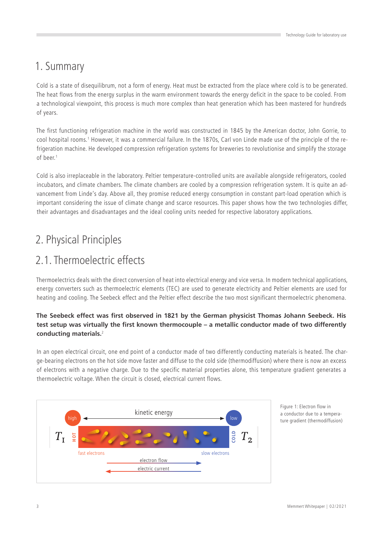### 1. Summary

Cold is a state of disequilibrum, not a form of energy. Heat must be extracted from the place where cold is to be generated. The heat flows from the energy surplus in the warm environment towards the energy deficit in the space to be cooled. From a technological viewpoint, this process is much more complex than heat generation which has been mastered for hundreds of years.

The first functioning refrigeration machine in the world was constructed in 1845 by the American doctor, John Gorrie, to cool hospital rooms.1 However, it was a commercial failure. In the 1870s, Carl von Linde made use of the principle of the refrigeration machine. He developed compression refrigeration systems for breweries to revolutionise and simplify the storage of heer<sup>1</sup>

Cold is also irreplaceable in the laboratory. Peltier temperature-controlled units are available alongside refrigerators, cooled incubators, and climate chambers. The climate chambers are cooled by a compression refrigeration system. It is quite an advancement from Linde's day. Above all, they promise reduced energy consumption in constant part-load operation which is important considering the issue of climate change and scarce resources. This paper shows how the two technologies differ, their advantages and disadvantages and the ideal cooling units needed for respective laboratory applications.

# 2. Physical Principles

# 2.1. Thermoelectric effects

Thermoelectrics deals with the direct conversion of heat into electrical energy and vice versa. In modern technical applications, energy converters such as thermoelectric elements (TEC) are used to generate electricity and Peltier elements are used for heating and cooling. The Seebeck effect and the Peltier effect describe the two most significant thermoelectric phenomena.

#### **The Seebeck effect was first observed in 1821 by the German physicist Thomas Johann Seebeck. His test setup was virtually the first known thermocouple – a metallic conductor made of two differently conducting materials.**<sup>2</sup>

In an open electrical circuit, one end point of a conductor made of two differently conducting materials is heated. The charge-bearing electrons on the hot side move faster and diffuse to the cold side (thermodiffusion) where there is now an excess of electrons with a negative charge. Due to the specific material properties alone, this temperature gradient generates a thermoelectric voltage. When the circuit is closed, electrical current flows.



Figure 1: Electron flow in a conductor due to a temperature gradient (thermodiffusion)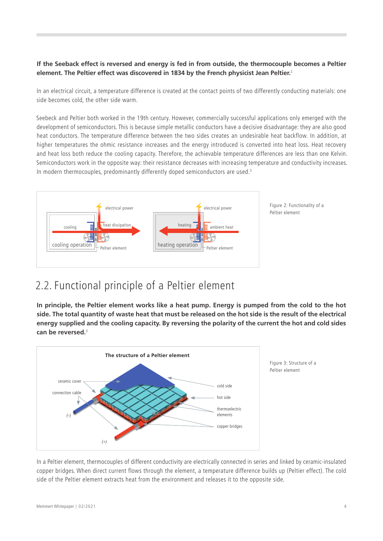#### **If the Seeback effect is reversed and energy is fed in from outside, the thermocouple becomes a Peltier element. The Peltier effect was discovered in 1834 by the French physicist Jean Peltier.**<sup>2</sup>

In an electrical circuit, a temperature difference is created at the contact points of two differently conducting materials: one side becomes cold, the other side warm.

Seebeck and Peltier both worked in the 19th century. However, commercially successful applications only emerged with the development of semiconductors. This is because simple metallic conductors have a decisive disadvantage: they are also good heat conductors. The temperature difference between the two sides creates an undesirable heat backflow. In addition, at higher temperatures the ohmic resistance increases and the energy introduced is converted into heat loss. Heat recovery and heat loss both reduce the cooling capacity. Therefore, the achievable temperature differences are less than one Kelvin. Semiconductors work in the opposite way: their resistance decreases with increasing temperature and conductivity increases. In modern thermocouples, predominantly differently doped semiconductors are used. $3$ 



### 2.2. Functional principle of a Peltier element

**In principle, the Peltier element works like a heat pump. Energy is pumped from the cold to the hot side. The total quantity of waste heat that must be released on the hot side is the result of the electrical energy supplied and the cooling capacity. By reversing the polarity of the current the hot and cold sides can be reversed.**<sup>3</sup>



In a Peltier element, thermocouples of different conductivity are electrically connected in series and linked by ceramic-insulated copper bridges. When direct current flows through the element, a temperature difference builds up (Peltier effect). The cold side of the Peltier element extracts heat from the environment and releases it to the opposite side.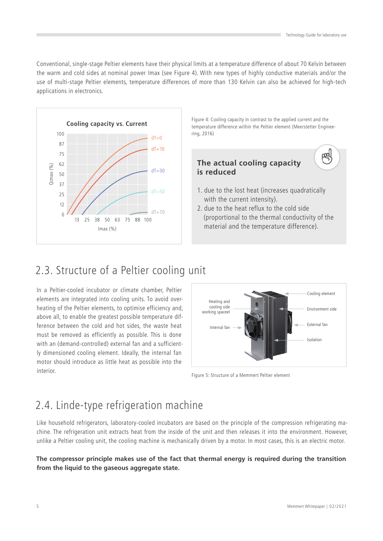鸣

Conventional, single-stage Peltier elements have their physical limits at a temperature difference of about 70 Kelvin between the warm and cold sides at nominal power Imax (see Figure 4). With new types of highly conductive materials and/or the use of multi-stage Peltier elements, temperature differences of more than 130 Kelvin can also be achieved for high-tech applications in electronics.



Figure 4: Cooling capacity in contrast to the applied current and the temperature difference within the Peltier element (Meerstetter Enginee-

#### **The actual cooling capacity is reduced**

- 1. due to the lost heat (increases quadratically with the current intensity).
- 2. due to the heat reflux to the cold side (proportional to the thermal conductivity of the material and the temperature difference).

# 2.3. Structure of a Peltier cooling unit

In a Peltier-cooled incubator or climate chamber, Peltier elements are integrated into cooling units. To avoid overheating of the Peltier elements, to optimise efficiency and, above all, to enable the greatest possible temperature difference between the cold and hot sides, the waste heat must be removed as efficiently as possible. This is done with an (demand-controlled) external fan and a sufficiently dimensioned cooling element. Ideally, the internal fan motor should introduce as little heat as possible into the interior.



Figure 5: Structure of a Memmert Peltier element

# 2.4. Linde-type refrigeration machine

Like household refrigerators, laboratory-cooled incubators are based on the principle of the compression refrigerating machine. The refrigeration unit extracts heat from the inside of the unit and then releases it into the environment. However, unlike a Peltier cooling unit, the cooling machine is mechanically driven by a motor. In most cases, this is an electric motor.

#### **The compressor principle makes use of the fact that thermal energy is required during the transition from the liquid to the gaseous aggregate state.**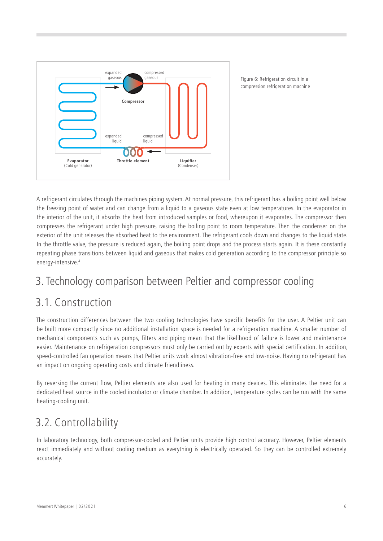

Figure 6: Refrigeration circuit in a compression refrigeration machine

A refrigerant circulates through the machines piping system. At normal pressure, this refrigerant has a boiling point well below the freezing point of water and can change from a liquid to a gaseous state even at low temperatures. In the evaporator in the interior of the unit, it absorbs the heat from introduced samples or food, whereupon it evaporates. The compressor then compresses the refrigerant under high pressure, raising the boiling point to room temperature. Then the condenser on the exterior of the unit releases the absorbed heat to the environment. The refrigerant cools down and changes to the liquid state. In the throttle valve, the pressure is reduced again, the boiling point drops and the process starts again. It is these constantly repeating phase transitions between liquid and gaseous that makes cold generation according to the compressor principle so energy-intensive.4

# 3. Technology comparison between Peltier and compressor cooling

### 3.1. Construction

The construction differences between the two cooling technologies have specific benefits for the user. A Peltier unit can be built more compactly since no additional installation space is needed for a refrigeration machine. A smaller number of mechanical components such as pumps, filters and piping mean that the likelihood of failure is lower and maintenance easier. Maintenance on refrigeration compressors must only be carried out by experts with special certification. In addition, speed-controlled fan operation means that Peltier units work almost vibration-free and low-noise. Having no refrigerant has an impact on ongoing operating costs and climate friendliness.

By reversing the current flow, Peltier elements are also used for heating in many devices. This eliminates the need for a dedicated heat source in the cooled incubator or climate chamber. In addition, temperature cycles can be run with the same heating-cooling unit.

# 3.2. Controllability

In laboratory technology, both compressor-cooled and Peltier units provide high control accuracy. However, Peltier elements react immediately and without cooling medium as everything is electrically operated. So they can be controlled extremely accurately.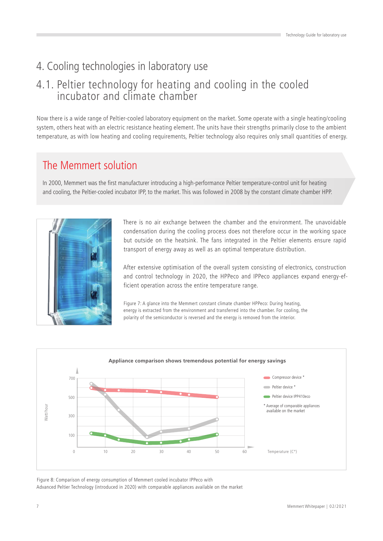# 4. Cooling technologies in laboratory use

### 4.1. Peltier technology for heating and cooling in the cooled incubator and climate chamber

Now there is a wide range of Peltier-cooled laboratory equipment on the market. Some operate with a single heating/cooling system, others heat with an electric resistance heating element. The units have their strengths primarily close to the ambient temperature, as with low heating and cooling requirements, Peltier technology also requires only small quantities of energy.

### The Memmert solution

In 2000, Memmert was the first manufacturer introducing a high-performance Peltier temperature-control unit for heating and cooling, the Peltier-cooled incubator IPP, to the market. This was followed in 2008 by the constant climate chamber HPP.



There is no air exchange between the chamber and the environment. The unavoidable condensation during the cooling process does not therefore occur in the working space but outside on the heatsink. The fans integrated in the Peltier elements ensure rapid transport of energy away as well as an optimal temperature distribution.

After extensive optimisation of the overall system consisting of electronics, construction and control technology in 2020, the HPPeco and IPPeco appliances expand energy-efficient operation across the entire temperature range.

Figure 7: A glance into the Memmert constant climate chamber HPPeco: During heating, energy is extracted from the environment and transferred into the chamber. For cooling, the polarity of the semiconductor is reversed and the energy is removed from the interior.



Figure 8: Comparison of energy consumption of Memmert cooled incubator IPPeco with Advanced Peltier Technology (introduced in 2020) with comparable appliances available on the market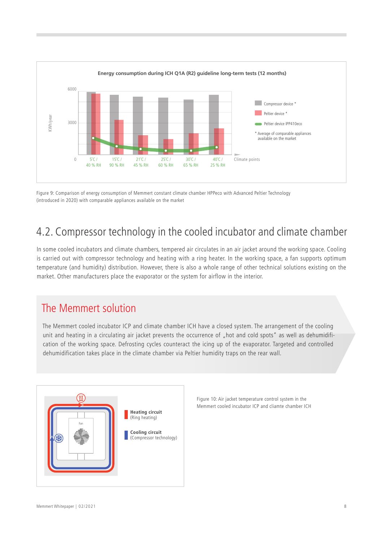

Figure 9: Comparison of energy consumption of Memmert constant climate chamber HPPeco with Advanced Peltier Technology (introduced in 2020) with comparable appliances available on the market

# 4.2. Compressor technology in the cooled incubator and climate chamber

In some cooled incubators and climate chambers, tempered air circulates in an air jacket around the working space. Cooling is carried out with compressor technology and heating with a ring heater. In the working space, a fan supports optimum temperature (and humidity) distribution. However, there is also a whole range of other technical solutions existing on the market. Other manufacturers place the evaporator or the system for airflow in the interior.

### The Memmert solution

The Memmert cooled incubator ICP and climate chamber ICH have a closed system. The arrangement of the cooling unit and heating in a circulating air jacket prevents the occurrence of "hot and cold spots" as well as dehumidification of the working space. Defrosting cycles counteract the icing up of the evaporator. Targeted and controlled dehumidification takes place in the climate chamber via Peltier humidity traps on the rear wall.



Figure 10: Air jacket temperature control system in the Memmert cooled incubator ICP and cliamte chamber ICH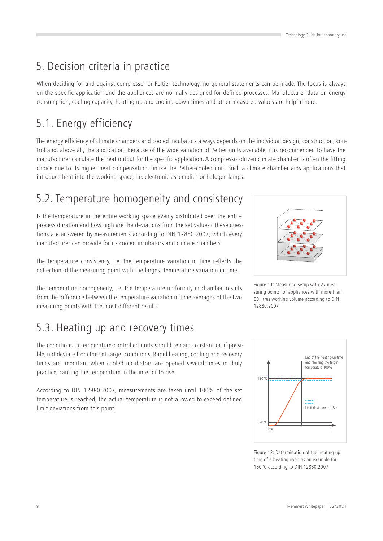# 5. Decision criteria in practice

When deciding for and against compressor or Peltier technology, no general statements can be made. The focus is always on the specific application and the appliances are normally designed for defined processes. Manufacturer data on energy consumption, cooling capacity, heating up and cooling down times and other measured values are helpful here.

# 5.1. Energy efficiency

The energy efficiency of climate chambers and cooled incubators always depends on the individual design, construction, control and, above all, the application. Because of the wide variation of Peltier units available, it is recommended to have the manufacturer calculate the heat output for the specific application. A compressor-driven climate chamber is often the fitting choice due to its higher heat compensation, unlike the Peltier-cooled unit. Such a climate chamber aids applications that introduce heat into the working space, i.e. electronic assemblies or halogen lamps.

# 5.2. Temperature homogeneity and consistency

Is the temperature in the entire working space evenly distributed over the entire process duration and how high are the deviations from the set values? These questions are answered by measurements according to DIN 12880:2007, which every manufacturer can provide for its cooled incubators and climate chambers.

The temperature consistency, i.e. the temperature variation in time reflects the deflection of the measuring point with the largest temperature variation in time.

The temperature homogeneity, i.e. the temperature uniformity in chamber, results from the difference between the temperature variation in time averages of the two measuring points with the most different results.

# 5.3. Heating up and recovery times

The conditions in temperature-controlled units should remain constant or, if possible, not deviate from the set target conditions. Rapid heating, cooling and recovery times are important when cooled incubators are opened several times in daily practice, causing the temperature in the interior to rise.

According to DIN 12880:2007, measurements are taken until 100% of the set temperature is reached; the actual temperature is not allowed to exceed defined limit deviations from this point.







Figure 12: Determination of the heating up time of a heating oven as an example for 180°C according to DIN 12880:2007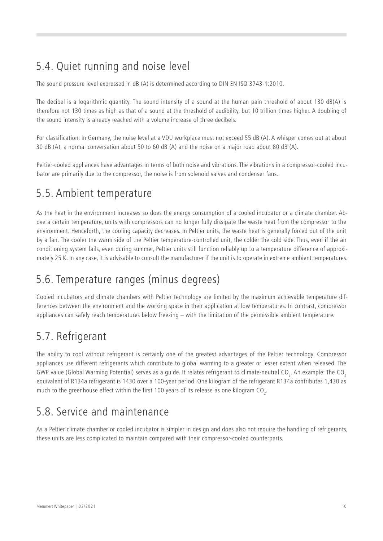# 5.4. Quiet running and noise level

The sound pressure level expressed in dB (A) is determined according to DIN EN ISO 3743-1:2010.

The decibel is a logarithmic quantity. The sound intensity of a sound at the human pain threshold of about 130 dB(A) is therefore not 130 times as high as that of a sound at the threshold of audibility, but 10 trillion times higher. A doubling of the sound intensity is already reached with a volume increase of three decibels.

For classification: In Germany, the noise level at a VDU workplace must not exceed 55 dB (A). A whisper comes out at about 30 dB (A), a normal conversation about 50 to 60 dB (A) and the noise on a major road about 80 dB (A).

Peltier-cooled appliances have advantages in terms of both noise and vibrations. The vibrations in a compressor-cooled incubator are primarily due to the compressor, the noise is from solenoid valves and condenser fans.

### 5.5. Ambient temperature

As the heat in the environment increases so does the energy consumption of a cooled incubator or a climate chamber. Above a certain temperature, units with compressors can no longer fully dissipate the waste heat from the compressor to the environment. Henceforth, the cooling capacity decreases. In Peltier units, the waste heat is generally forced out of the unit by a fan. The cooler the warm side of the Peltier temperature-controlled unit, the colder the cold side. Thus, even if the air conditioning system fails, even during summer, Peltier units still function reliably up to a temperature difference of approximately 25 K. In any case, it is advisable to consult the manufacturer if the unit is to operate in extreme ambient temperatures.

### 5.6. Temperature ranges (minus degrees)

Cooled incubators and climate chambers with Peltier technology are limited by the maximum achievable temperature differences between the environment and the working space in their application at low temperatures. In contrast, compressor appliances can safely reach temperatures below freezing – with the limitation of the permissible ambient temperature.

### 5.7. Refrigerant

The ability to cool without refrigerant is certainly one of the greatest advantages of the Peltier technology. Compressor appliances use different refrigerants which contribute to global warming to a greater or lesser extent when released. The GWP value (Global Warming Potential) serves as a guide. It relates refrigerant to climate-neutral CO<sub>2</sub>. An example: The CO<sub>2</sub> equivalent of R134a refrigerant is 1430 over a 100-year period. One kilogram of the refrigerant R134a contributes 1,430 as much to the greenhouse effect within the first 100 years of its release as one kilogram CO<sub>2</sub>.

### 5.8. Service and maintenance

As a Peltier climate chamber or cooled incubator is simpler in design and does also not require the handling of refrigerants, these units are less complicated to maintain compared with their compressor-cooled counterparts.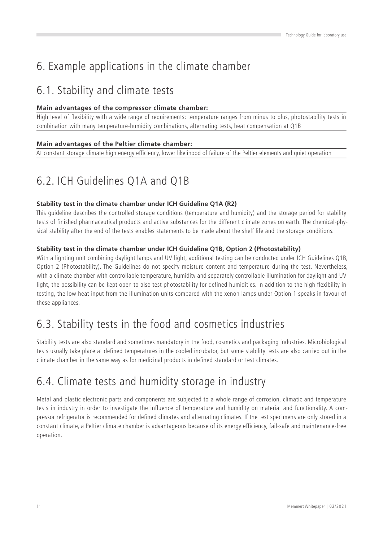# 6. Example applications in the climate chamber

# 6.1. Stability and climate tests

#### **Main advantages of the compressor climate chamber:**

High level of flexibility with a wide range of requirements: temperature ranges from minus to plus, photostability tests in combination with many temperature-humidity combinations, alternating tests, heat compensation at Q1B

#### **Main advantages of the Peltier climate chamber:**

At constant storage climate high energy efficiency, lower likelihood of failure of the Peltier elements and quiet operation

# 6.2. ICH Guidelines Q1A and Q1B

#### **Stability test in the climate chamber under ICH Guideline Q1A (R2)**

This guideline describes the controlled storage conditions (temperature and humidity) and the storage period for stability tests of finished pharmaceutical products and active substances for the different climate zones on earth. The chemical-physical stability after the end of the tests enables statements to be made about the shelf life and the storage conditions.

#### **Stability test in the climate chamber under ICH Guideline Q1B, Option 2 (Photostability)**

With a lighting unit combining daylight lamps and UV light, additional testing can be conducted under ICH Guidelines Q1B, Option 2 (Photostability). The Guidelines do not specify moisture content and temperature during the test. Nevertheless, with a climate chamber with controllable temperature, humidity and separately controllable illumination for daylight and UV light, the possibility can be kept open to also test photostability for defined humidities. In addition to the high flexibility in testing, the low heat input from the illumination units compared with the xenon lamps under Option 1 speaks in favour of these appliances.

### 6.3. Stability tests in the food and cosmetics industries

Stability tests are also standard and sometimes mandatory in the food, cosmetics and packaging industries. Microbiological tests usually take place at defined temperatures in the cooled incubator, but some stability tests are also carried out in the climate chamber in the same way as for medicinal products in defined standard or test climates.

### 6.4. Climate tests and humidity storage in industry

Metal and plastic electronic parts and components are subjected to a whole range of corrosion, climatic and temperature tests in industry in order to investigate the influence of temperature and humidity on material and functionality. A compressor refrigerator is recommended for defined climates and alternating climates. If the test specimens are only stored in a constant climate, a Peltier climate chamber is advantageous because of its energy efficiency, fail-safe and maintenance-free operation.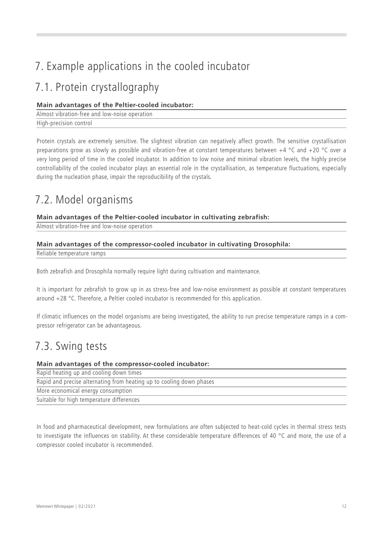# 7. Example applications in the cooled incubator

### 7.1. Protein crystallography

#### **Main advantages of the Peltier-cooled incubator:**

Almost vibration-free and low-noise operation High-precision control

Protein crystals are extremely sensitive. The slightest vibration can negatively affect growth. The sensitive crystallisation preparations grow as slowly as possible and vibration-free at constant temperatures between +4 °C and +20 °C over a very long period of time in the cooled incubator. In addition to low noise and minimal vibration levels, the highly precise controllability of the cooled incubator plays an essential role in the crystallisation, as temperature fluctuations, especially during the nucleation phase, impair the reproducibility of the crystals.

# 7.2. Model organisms

#### **Main advantages of the Peltier-cooled incubator in cultivating zebrafish:**

Almost vibration-free and low-noise operation

#### **Main advantages of the compressor-cooled incubator in cultivating Drosophila:**

Reliable temperature ramps

Both zebrafish and Drosophila normally require light during cultivation and maintenance.

It is important for zebrafish to grow up in as stress-free and low-noise environment as possible at constant temperatures around +28 °C. Therefore, a Peltier cooled incubator is recommended for this application.

If climatic influences on the model organisms are being investigated, the ability to run precise temperature ramps in a compressor refrigerator can be advantageous.

### 7.3. Swing tests

#### **Main advantages of the compressor-cooled incubator:**

| Rapid heating up and cooling down times                              |  |
|----------------------------------------------------------------------|--|
| Rapid and precise alternating from heating up to cooling down phases |  |
| More economical energy consumption                                   |  |
| Suitable for high temperature differences                            |  |

In food and pharmaceutical development, new formulations are often subjected to heat-cold cycles in thermal stress tests to investigate the influences on stability. At these considerable temperature differences of 40 °C and more, the use of a compressor cooled incubator is recommended.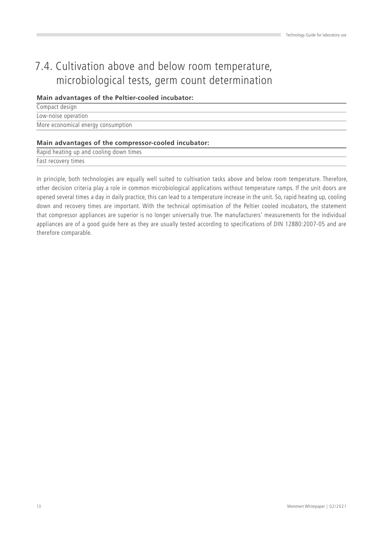# 7.4. Cultivation above and below room temperature, microbiological tests, germ count determination

#### **Main advantages of the Peltier-cooled incubator:**

| Compact design                     |  |
|------------------------------------|--|
| Low-noise operation                |  |
| More economical energy consumption |  |

#### **Main advantages of the compressor-cooled incubator:**

Rapid heating up and cooling down times Fast recovery times

In principle, both technologies are equally well suited to cultivation tasks above and below room temperature. Therefore, other decision criteria play a role in common microbiological applications without temperature ramps. If the unit doors are opened several times a day in daily practice, this can lead to a temperature increase in the unit. So, rapid heating up, cooling down and recovery times are important. With the technical optimisation of the Peltier cooled incubators, the statement that compressor appliances are superior is no longer universally true. The manufacturers' measurements for the individual appliances are of a good guide here as they are usually tested according to specifications of DIN 12880:2007-05 and are therefore comparable.